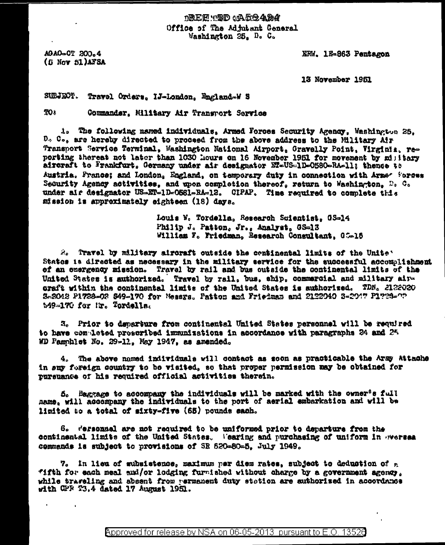DREEWDO ADOAMA Office of The Adjutant Ceneral Washington 25. D. C.

AGAO-CT 200.4 (G Nov 51)AFSA ERW. 1E-863 Pentagon

13 November 1951

SUBJECT. Travel Orders, IJ-London, England-W S

TO& Commander. Military Air Transport Service

1. The following named individuals, Armed Forces Security Agency, Washington 25. D. C., are hereby directed to proceed from the above address to the Military Air Transport Service Terminal, Washington National Airport, Gravelly Point, Virginia, reporting thereat not later than 1030 hours on 16 November 1951 for movement by military aireraft to Frankfurt, Germany under air designator NT-US-1D-O580-RA-11: thence to Austria, France; and London, England, on temporary duty in connection with Armor Sorges Security Agency activities, and upon completion thereof, return to Washington,  $P_0$  C. under als designator US-ET-1D-O581-RA-12. CIPAP. Time required to complete this afssion is approximately eighteen (18) days.

> Louis W. Tordella, Research Scientist, OS-14 Philip J. Patton, Jr., Analyst, GS-13 William F. Friedman. Research Consultant. CO-15

 $\lambda_c$  fravel by military aircraft outside the continental limits of the Unite . States is directed as necessary in the military service for the successful accomplishment. of an omergency mission. Travel by rail and bus outside the continental limits of the United States is authorized. Travel by rail, bus, ship, commarcial and military airgraft within the continental limits of the United States is authorized. TDN. 2122020 3~2042 P1728~02 S49~170 for Messrs. Patton and Friedman and 2122040 3~2047 P1739~07 549-170 for Mr. Tordella,

3. Prior to departure from continental United States personnel will be required to have completed preseribed immunizations in accordance with paragraphs 24 and 25 WD Pamphlet No. 29-11. May 1947, as amended.

4. The above named individuals will contact as soon as practicable the Army Attache in suy foreign country to be visited, so that proper permission may be obtained for rursuance of his required official activities therein.

5. Baggage to accompany the individuals will be marked with the owner<sup>s</sup>s full name, will accompany the individuals to the port of aerial embarkation and will be limited to a total of sixty-five (65) pounds each.

6. Fersonnel are not required to be uniformed prior to departure from the continental limits of the United States. Vering and purchasing of uniform in oversea commends is subject to provisions of SR 520-80-5. July 1949.

7. In lieu of subsistence, maximum ner diem rates, subject to deduction of n "ifth for each meal and/or lodging furnished without charge by a government agency. while traveling and absent from vermanent duty station are suthorized in accordance with CPF T3.4 dated 17 August 1951.